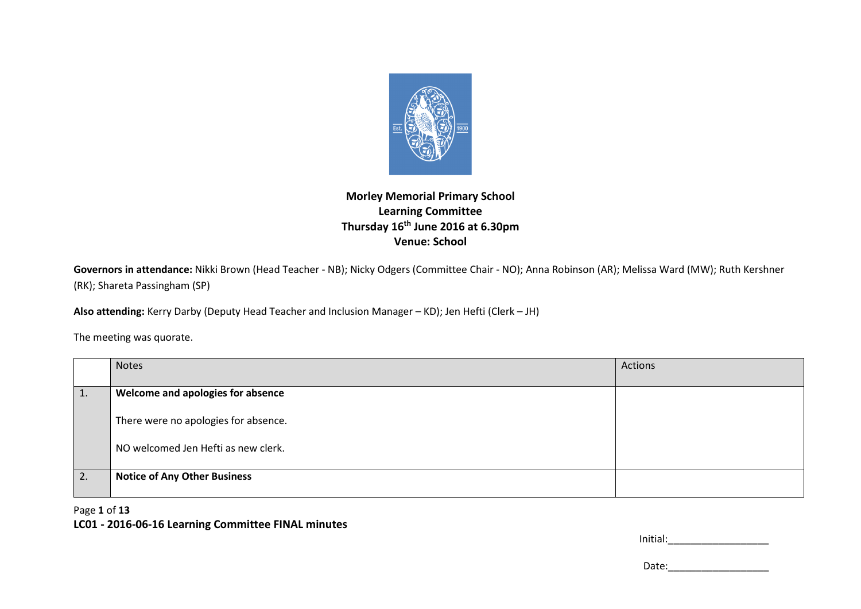

## **Morley Memorial Primary School Learning Committee Thursday 16th June 2016 at 6.30pm Venue: School**

**Governors in attendance:** Nikki Brown (Head Teacher - NB); Nicky Odgers (Committee Chair - NO); Anna Robinson (AR); Melissa Ward (MW); Ruth Kershner (RK); Shareta Passingham (SP)

**Also attending:** Kerry Darby (Deputy Head Teacher and Inclusion Manager – KD); Jen Hefti (Clerk – JH)

The meeting was quorate.

|    | <b>Notes</b>                         | Actions |
|----|--------------------------------------|---------|
| 1. | Welcome and apologies for absence    |         |
|    | There were no apologies for absence. |         |
|    | NO welcomed Jen Hefti as new clerk.  |         |
| 2. | <b>Notice of Any Other Business</b>  |         |

#### Page **1** of **13**

#### **LC01 - 2016-06-16 Learning Committee FINAL minutes**

| Initial: |  |
|----------|--|
|          |  |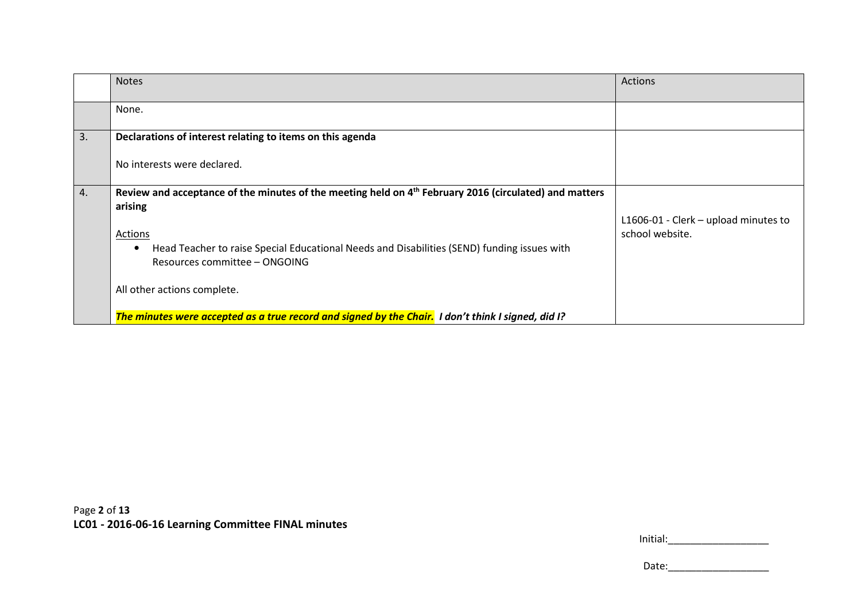|    | <b>Notes</b>                                                                                                                              | Actions                                                 |
|----|-------------------------------------------------------------------------------------------------------------------------------------------|---------------------------------------------------------|
|    | None.                                                                                                                                     |                                                         |
| 3. | Declarations of interest relating to items on this agenda                                                                                 |                                                         |
|    | No interests were declared.                                                                                                               |                                                         |
| 4. | Review and acceptance of the minutes of the meeting held on 4th February 2016 (circulated) and matters                                    |                                                         |
|    | arising                                                                                                                                   |                                                         |
|    | Actions                                                                                                                                   | L1606-01 - Clerk - upload minutes to<br>school website. |
|    | Head Teacher to raise Special Educational Needs and Disabilities (SEND) funding issues with<br>$\bullet$<br>Resources committee - ONGOING |                                                         |
|    | All other actions complete.                                                                                                               |                                                         |
|    | The minutes were accepted as a true record and signed by the Chair. I don't think I signed, did I?                                        |                                                         |

|--|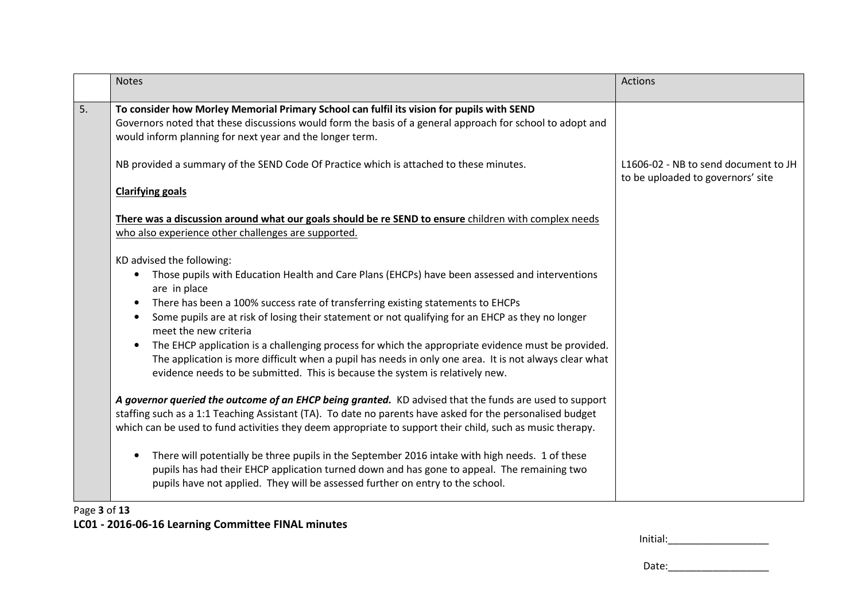|    | <b>Notes</b>                                                                                                                                                                                                                                                                                                                                                                                                                                                                                                                                                                                                                                                                            | <b>Actions</b>                                                            |
|----|-----------------------------------------------------------------------------------------------------------------------------------------------------------------------------------------------------------------------------------------------------------------------------------------------------------------------------------------------------------------------------------------------------------------------------------------------------------------------------------------------------------------------------------------------------------------------------------------------------------------------------------------------------------------------------------------|---------------------------------------------------------------------------|
| 5. | To consider how Morley Memorial Primary School can fulfil its vision for pupils with SEND<br>Governors noted that these discussions would form the basis of a general approach for school to adopt and<br>would inform planning for next year and the longer term.                                                                                                                                                                                                                                                                                                                                                                                                                      |                                                                           |
|    | NB provided a summary of the SEND Code Of Practice which is attached to these minutes.<br><b>Clarifying goals</b>                                                                                                                                                                                                                                                                                                                                                                                                                                                                                                                                                                       | L1606-02 - NB to send document to JH<br>to be uploaded to governors' site |
|    | There was a discussion around what our goals should be re SEND to ensure children with complex needs<br>who also experience other challenges are supported.                                                                                                                                                                                                                                                                                                                                                                                                                                                                                                                             |                                                                           |
|    | KD advised the following:<br>Those pupils with Education Health and Care Plans (EHCPs) have been assessed and interventions<br>$\bullet$<br>are in place<br>There has been a 100% success rate of transferring existing statements to EHCPs<br>Some pupils are at risk of losing their statement or not qualifying for an EHCP as they no longer<br>meet the new criteria<br>The EHCP application is a challenging process for which the appropriate evidence must be provided.<br>$\bullet$<br>The application is more difficult when a pupil has needs in only one area. It is not always clear what<br>evidence needs to be submitted. This is because the system is relatively new. |                                                                           |
|    | A governor queried the outcome of an EHCP being granted. KD advised that the funds are used to support<br>staffing such as a 1:1 Teaching Assistant (TA). To date no parents have asked for the personalised budget<br>which can be used to fund activities they deem appropriate to support their child, such as music therapy.                                                                                                                                                                                                                                                                                                                                                        |                                                                           |
|    | There will potentially be three pupils in the September 2016 intake with high needs. 1 of these<br>$\bullet$<br>pupils has had their EHCP application turned down and has gone to appeal. The remaining two<br>pupils have not applied. They will be assessed further on entry to the school.                                                                                                                                                                                                                                                                                                                                                                                           |                                                                           |

# Page **3** of **13LC01 - 2016-06-16 Learning Committee FINAL minutes**

| Initial: |
|----------|
|----------|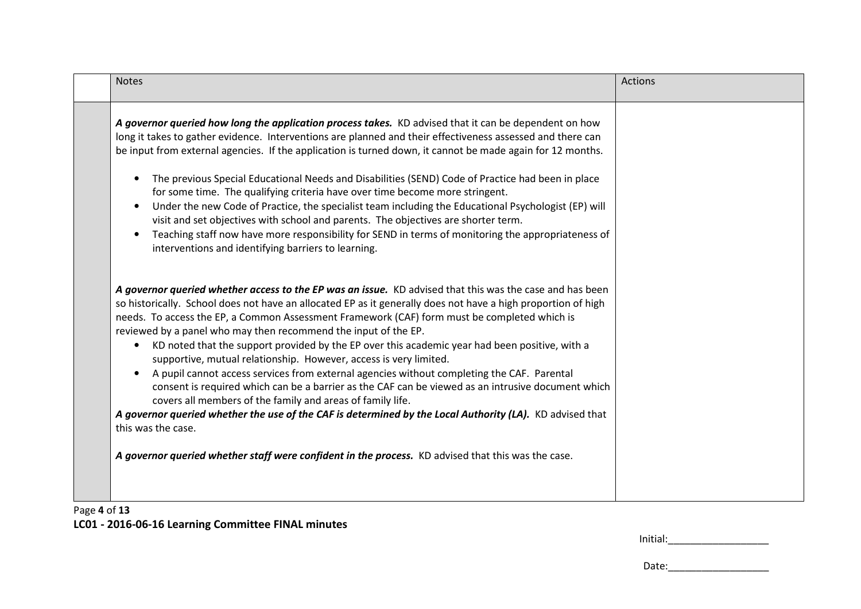| <b>Notes</b>                                                                                                                                                                                                                                                                                                                                                                                                                                                                                                                                                                                                                                                                                                                                                                                                                                                                                                                                                                         | <b>Actions</b> |
|--------------------------------------------------------------------------------------------------------------------------------------------------------------------------------------------------------------------------------------------------------------------------------------------------------------------------------------------------------------------------------------------------------------------------------------------------------------------------------------------------------------------------------------------------------------------------------------------------------------------------------------------------------------------------------------------------------------------------------------------------------------------------------------------------------------------------------------------------------------------------------------------------------------------------------------------------------------------------------------|----------------|
| A governor queried how long the application process takes. KD advised that it can be dependent on how<br>long it takes to gather evidence. Interventions are planned and their effectiveness assessed and there can<br>be input from external agencies. If the application is turned down, it cannot be made again for 12 months.<br>The previous Special Educational Needs and Disabilities (SEND) Code of Practice had been in place<br>for some time. The qualifying criteria have over time become more stringent.<br>Under the new Code of Practice, the specialist team including the Educational Psychologist (EP) will<br>$\bullet$<br>visit and set objectives with school and parents. The objectives are shorter term.<br>Teaching staff now have more responsibility for SEND in terms of monitoring the appropriateness of<br>interventions and identifying barriers to learning.                                                                                       |                |
| A governor queried whether access to the EP was an issue. KD advised that this was the case and has been<br>so historically. School does not have an allocated EP as it generally does not have a high proportion of high<br>needs. To access the EP, a Common Assessment Framework (CAF) form must be completed which is<br>reviewed by a panel who may then recommend the input of the EP.<br>KD noted that the support provided by the EP over this academic year had been positive, with a<br>$\bullet$<br>supportive, mutual relationship. However, access is very limited.<br>A pupil cannot access services from external agencies without completing the CAF. Parental<br>consent is required which can be a barrier as the CAF can be viewed as an intrusive document which<br>covers all members of the family and areas of family life.<br>A governor queried whether the use of the CAF is determined by the Local Authority (LA). KD advised that<br>this was the case. |                |
| A governor queried whether staff were confident in the process. KD advised that this was the case.                                                                                                                                                                                                                                                                                                                                                                                                                                                                                                                                                                                                                                                                                                                                                                                                                                                                                   |                |

## Page **4** of **13**

**LC01 - 2016-06-16 Learning Committee FINAL minutes**

| Initial: |
|----------|
|----------|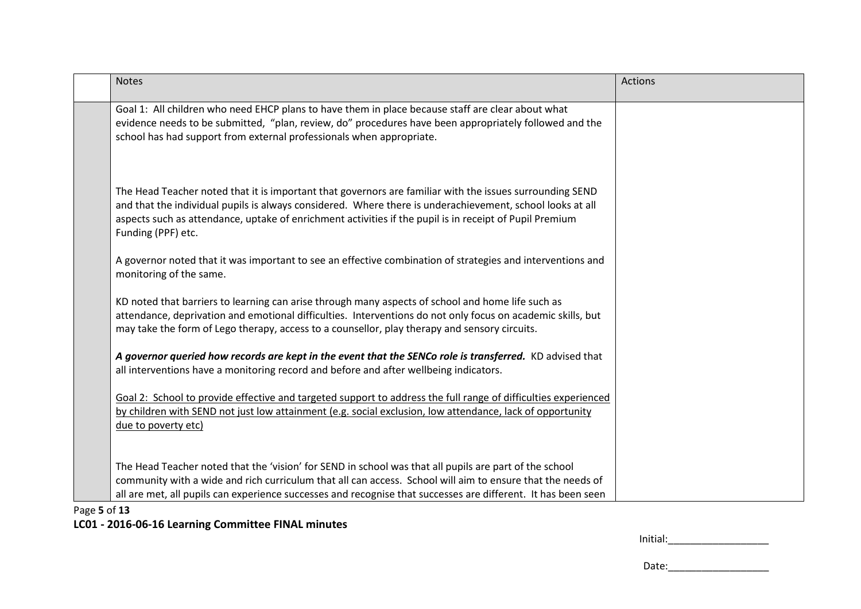| <b>Notes</b>                                                                                                                                                                                                                                                                                                                                           | <b>Actions</b> |
|--------------------------------------------------------------------------------------------------------------------------------------------------------------------------------------------------------------------------------------------------------------------------------------------------------------------------------------------------------|----------------|
| Goal 1: All children who need EHCP plans to have them in place because staff are clear about what<br>evidence needs to be submitted, "plan, review, do" procedures have been appropriately followed and the<br>school has had support from external professionals when appropriate.                                                                    |                |
| The Head Teacher noted that it is important that governors are familiar with the issues surrounding SEND<br>and that the individual pupils is always considered. Where there is underachievement, school looks at all<br>aspects such as attendance, uptake of enrichment activities if the pupil is in receipt of Pupil Premium<br>Funding (PPF) etc. |                |
| A governor noted that it was important to see an effective combination of strategies and interventions and<br>monitoring of the same.                                                                                                                                                                                                                  |                |
| KD noted that barriers to learning can arise through many aspects of school and home life such as<br>attendance, deprivation and emotional difficulties. Interventions do not only focus on academic skills, but<br>may take the form of Lego therapy, access to a counsellor, play therapy and sensory circuits.                                      |                |
| A governor queried how records are kept in the event that the SENCo role is transferred. KD advised that<br>all interventions have a monitoring record and before and after wellbeing indicators.                                                                                                                                                      |                |
| Goal 2: School to provide effective and targeted support to address the full range of difficulties experienced<br>by children with SEND not just low attainment (e.g. social exclusion, low attendance, lack of opportunity<br>due to poverty etc)                                                                                                     |                |
| The Head Teacher noted that the 'vision' for SEND in school was that all pupils are part of the school<br>community with a wide and rich curriculum that all can access. School will aim to ensure that the needs of<br>all are met, all pupils can experience successes and recognise that successes are different. It has been seen                  |                |

Page **5** of **13**

## **LC01 - 2016-06-16 Learning Committee FINAL minutes**

| Initial: |  |
|----------|--|
|----------|--|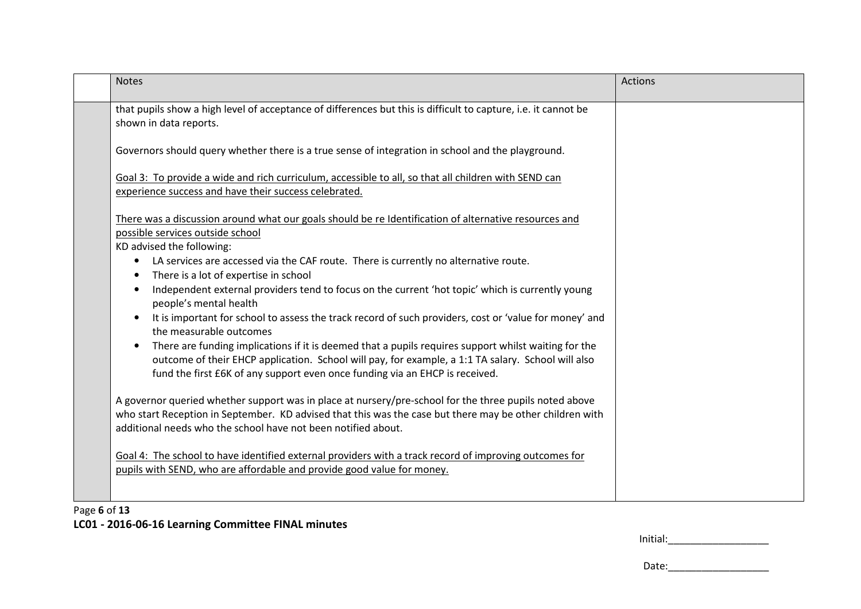| <b>Notes</b>                                                                                                                                                                                                                                                                                            | Actions |
|---------------------------------------------------------------------------------------------------------------------------------------------------------------------------------------------------------------------------------------------------------------------------------------------------------|---------|
| that pupils show a high level of acceptance of differences but this is difficult to capture, i.e. it cannot be<br>shown in data reports.                                                                                                                                                                |         |
| Governors should query whether there is a true sense of integration in school and the playground.                                                                                                                                                                                                       |         |
| Goal 3: To provide a wide and rich curriculum, accessible to all, so that all children with SEND can<br>experience success and have their success celebrated.                                                                                                                                           |         |
| There was a discussion around what our goals should be re Identification of alternative resources and<br>possible services outside school<br>KD advised the following:                                                                                                                                  |         |
| LA services are accessed via the CAF route. There is currently no alternative route.<br>$\bullet$<br>There is a lot of expertise in school<br>$\bullet$                                                                                                                                                 |         |
| Independent external providers tend to focus on the current 'hot topic' which is currently young<br>$\bullet$<br>people's mental health                                                                                                                                                                 |         |
| It is important for school to assess the track record of such providers, cost or 'value for money' and<br>$\bullet$<br>the measurable outcomes                                                                                                                                                          |         |
| There are funding implications if it is deemed that a pupils requires support whilst waiting for the<br>$\bullet$<br>outcome of their EHCP application. School will pay, for example, a 1:1 TA salary. School will also<br>fund the first £6K of any support even once funding via an EHCP is received. |         |
| A governor queried whether support was in place at nursery/pre-school for the three pupils noted above<br>who start Reception in September. KD advised that this was the case but there may be other children with<br>additional needs who the school have not been notified about.                     |         |
| Goal 4: The school to have identified external providers with a track record of improving outcomes for<br>pupils with SEND, who are affordable and provide good value for money.                                                                                                                        |         |
|                                                                                                                                                                                                                                                                                                         |         |

## Page **6** of **13**

#### **LC01 - 2016-06-16 Learning Committee FINAL minutes**

| Initial: |  |
|----------|--|
|          |  |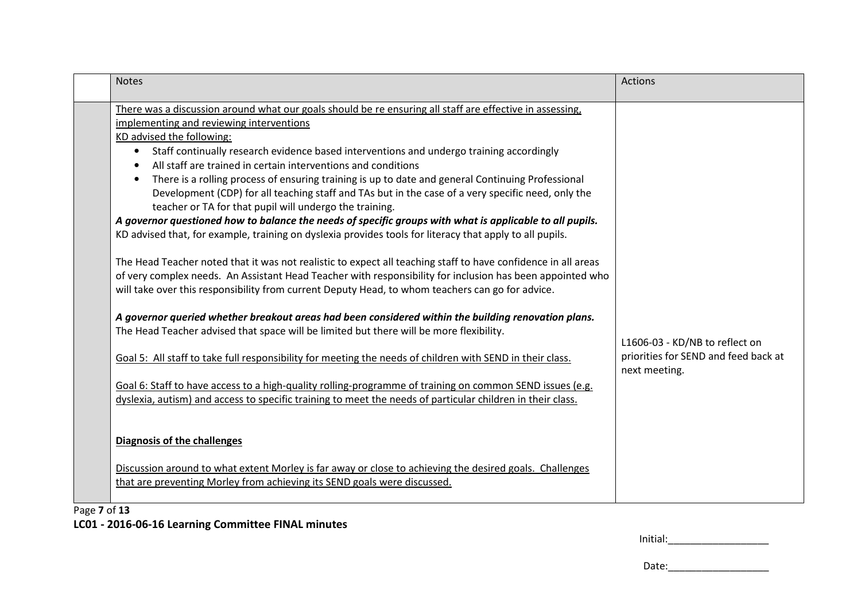| <b>Notes</b>                                                                                                                                                                                                                                                                                                                                                                                                                                                                                                                                                                                                                                                                                                                                               | <b>Actions</b>                                                                          |
|------------------------------------------------------------------------------------------------------------------------------------------------------------------------------------------------------------------------------------------------------------------------------------------------------------------------------------------------------------------------------------------------------------------------------------------------------------------------------------------------------------------------------------------------------------------------------------------------------------------------------------------------------------------------------------------------------------------------------------------------------------|-----------------------------------------------------------------------------------------|
| There was a discussion around what our goals should be re ensuring all staff are effective in assessing,<br>implementing and reviewing interventions<br>KD advised the following:<br>Staff continually research evidence based interventions and undergo training accordingly<br>$\bullet$<br>All staff are trained in certain interventions and conditions<br>There is a rolling process of ensuring training is up to date and general Continuing Professional<br>$\bullet$<br>Development (CDP) for all teaching staff and TAs but in the case of a very specific need, only the<br>teacher or TA for that pupil will undergo the training.<br>A governor questioned how to balance the needs of specific groups with what is applicable to all pupils. |                                                                                         |
| KD advised that, for example, training on dyslexia provides tools for literacy that apply to all pupils.<br>The Head Teacher noted that it was not realistic to expect all teaching staff to have confidence in all areas<br>of very complex needs. An Assistant Head Teacher with responsibility for inclusion has been appointed who<br>will take over this responsibility from current Deputy Head, to whom teachers can go for advice.<br>A governor queried whether breakout areas had been considered within the building renovation plans.<br>The Head Teacher advised that space will be limited but there will be more flexibility.                                                                                                               |                                                                                         |
| Goal 5: All staff to take full responsibility for meeting the needs of children with SEND in their class.<br>Goal 6: Staff to have access to a high-quality rolling-programme of training on common SEND issues (e.g.                                                                                                                                                                                                                                                                                                                                                                                                                                                                                                                                      | L1606-03 - KD/NB to reflect on<br>priorities for SEND and feed back at<br>next meeting. |
| dyslexia, autism) and access to specific training to meet the needs of particular children in their class.<br><b>Diagnosis of the challenges</b><br>Discussion around to what extent Morley is far away or close to achieving the desired goals. Challenges                                                                                                                                                                                                                                                                                                                                                                                                                                                                                                |                                                                                         |
| that are preventing Morley from achieving its SEND goals were discussed.                                                                                                                                                                                                                                                                                                                                                                                                                                                                                                                                                                                                                                                                                   |                                                                                         |

Page **7** of **13**

**LC01 - 2016-06-16 Learning Committee FINAL minutes**

| tial:<br>. Մա<br>_____ |
|------------------------|
|------------------------|

Date:\_\_\_\_\_\_\_\_\_\_\_\_\_\_\_\_\_\_\_\_\_\_\_\_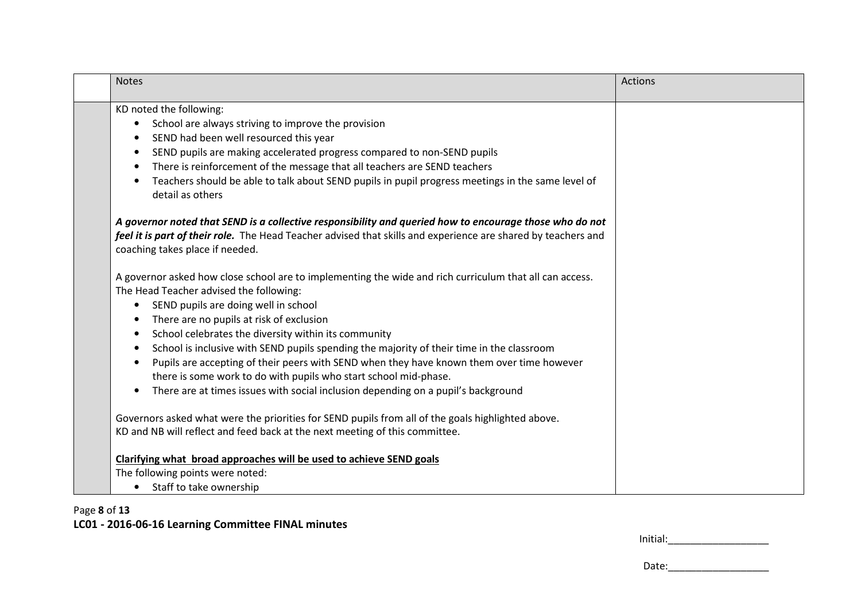| <b>Notes</b>                                                                                                                                                                                                                                                | <b>Actions</b> |
|-------------------------------------------------------------------------------------------------------------------------------------------------------------------------------------------------------------------------------------------------------------|----------------|
| KD noted the following:                                                                                                                                                                                                                                     |                |
| School are always striving to improve the provision                                                                                                                                                                                                         |                |
| SEND had been well resourced this year                                                                                                                                                                                                                      |                |
| SEND pupils are making accelerated progress compared to non-SEND pupils                                                                                                                                                                                     |                |
| There is reinforcement of the message that all teachers are SEND teachers<br>$\bullet$                                                                                                                                                                      |                |
| Teachers should be able to talk about SEND pupils in pupil progress meetings in the same level of<br>detail as others                                                                                                                                       |                |
| A governor noted that SEND is a collective responsibility and queried how to encourage those who do not<br>feel it is part of their role. The Head Teacher advised that skills and experience are shared by teachers and<br>coaching takes place if needed. |                |
| A governor asked how close school are to implementing the wide and rich curriculum that all can access.                                                                                                                                                     |                |
| The Head Teacher advised the following:                                                                                                                                                                                                                     |                |
| SEND pupils are doing well in school<br>$\bullet$                                                                                                                                                                                                           |                |
| There are no pupils at risk of exclusion                                                                                                                                                                                                                    |                |
| School celebrates the diversity within its community                                                                                                                                                                                                        |                |
| School is inclusive with SEND pupils spending the majority of their time in the classroom<br>$\bullet$                                                                                                                                                      |                |
| Pupils are accepting of their peers with SEND when they have known them over time however                                                                                                                                                                   |                |
| there is some work to do with pupils who start school mid-phase.                                                                                                                                                                                            |                |
| There are at times issues with social inclusion depending on a pupil's background                                                                                                                                                                           |                |
| Governors asked what were the priorities for SEND pupils from all of the goals highlighted above.                                                                                                                                                           |                |
| KD and NB will reflect and feed back at the next meeting of this committee.                                                                                                                                                                                 |                |
| Clarifying what broad approaches will be used to achieve SEND goals                                                                                                                                                                                         |                |
| The following points were noted:                                                                                                                                                                                                                            |                |
| Staff to take ownership                                                                                                                                                                                                                                     |                |

## Page **8** of **13LC01 - 2016-06-16 Learning Committee FINAL minutes**

| Initial: |  |
|----------|--|
|----------|--|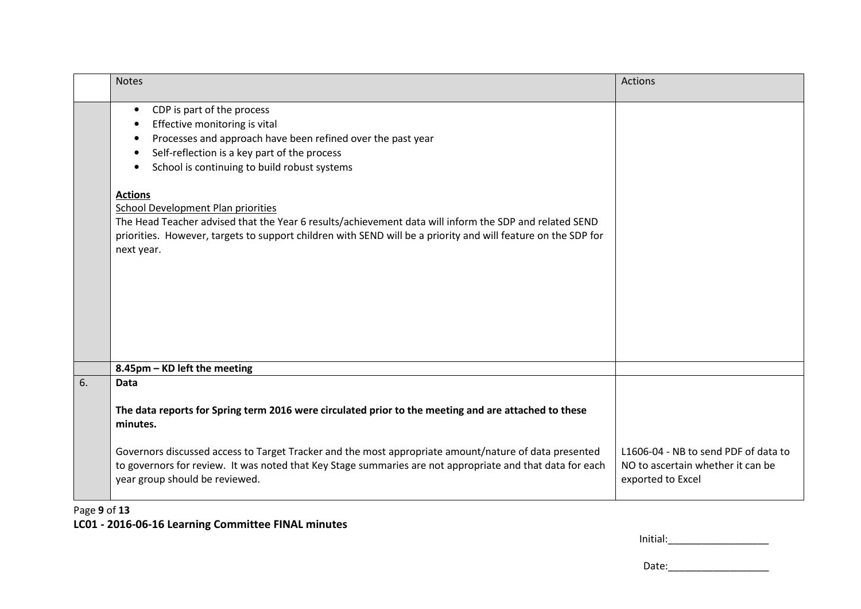|    | <b>Notes</b>                                                                                                                                                                                                                                                                                                                                                                                                                                                                                                                                                 | Actions                                                                                        |
|----|--------------------------------------------------------------------------------------------------------------------------------------------------------------------------------------------------------------------------------------------------------------------------------------------------------------------------------------------------------------------------------------------------------------------------------------------------------------------------------------------------------------------------------------------------------------|------------------------------------------------------------------------------------------------|
|    | CDP is part of the process<br>$\bullet$<br>Effective monitoring is vital<br>Processes and approach have been refined over the past year<br>Self-reflection is a key part of the process<br>School is continuing to build robust systems<br>$\bullet$<br><b>Actions</b><br><b>School Development Plan priorities</b><br>The Head Teacher advised that the Year 6 results/achievement data will inform the SDP and related SEND<br>priorities. However, targets to support children with SEND will be a priority and will feature on the SDP for<br>next year. |                                                                                                |
|    | 8.45pm - KD left the meeting                                                                                                                                                                                                                                                                                                                                                                                                                                                                                                                                 |                                                                                                |
| 6. | <b>Data</b><br>The data reports for Spring term 2016 were circulated prior to the meeting and are attached to these<br>minutes.                                                                                                                                                                                                                                                                                                                                                                                                                              |                                                                                                |
|    | Governors discussed access to Target Tracker and the most appropriate amount/nature of data presented<br>to governors for review. It was noted that Key Stage summaries are not appropriate and that data for each<br>year group should be reviewed.                                                                                                                                                                                                                                                                                                         | L1606-04 - NB to send PDF of data to<br>NO to ascertain whether it can be<br>exported to Excel |

# Page **9** of **13**

## **LC01 - 2016-06-16 Learning Committee FINAL minutes**

| Initial: |  |
|----------|--|
|----------|--|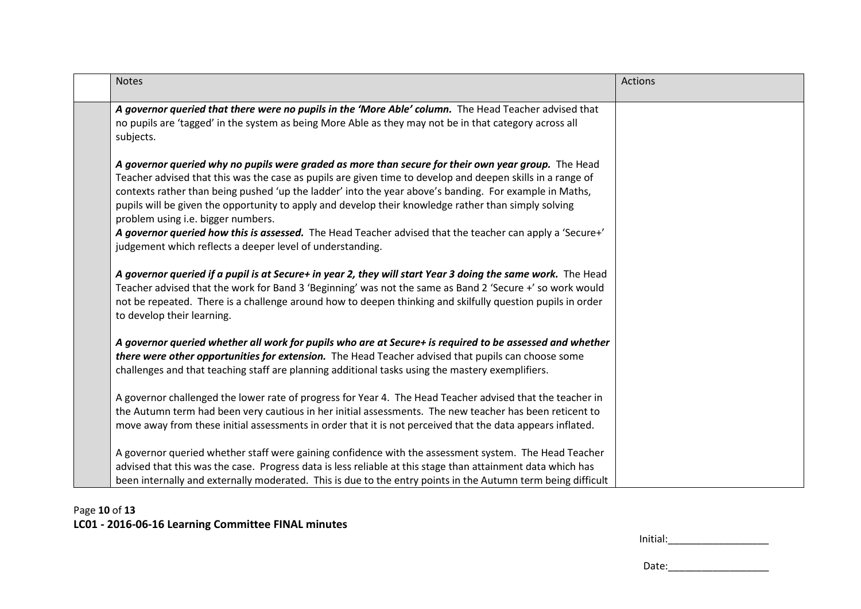| <b>Notes</b>                                                                                                                                                                                                                                                                                                                                                                                                                                                              | <b>Actions</b> |
|---------------------------------------------------------------------------------------------------------------------------------------------------------------------------------------------------------------------------------------------------------------------------------------------------------------------------------------------------------------------------------------------------------------------------------------------------------------------------|----------------|
| A governor queried that there were no pupils in the 'More Able' column. The Head Teacher advised that<br>no pupils are 'tagged' in the system as being More Able as they may not be in that category across all<br>subjects.                                                                                                                                                                                                                                              |                |
| A governor queried why no pupils were graded as more than secure for their own year group. The Head<br>Teacher advised that this was the case as pupils are given time to develop and deepen skills in a range of<br>contexts rather than being pushed 'up the ladder' into the year above's banding. For example in Maths,<br>pupils will be given the opportunity to apply and develop their knowledge rather than simply solving<br>problem using i.e. bigger numbers. |                |
| A governor queried how this is assessed. The Head Teacher advised that the teacher can apply a 'Secure+'<br>judgement which reflects a deeper level of understanding.                                                                                                                                                                                                                                                                                                     |                |
| A governor queried if a pupil is at Secure+ in year 2, they will start Year 3 doing the same work. The Head<br>Teacher advised that the work for Band 3 'Beginning' was not the same as Band 2 'Secure +' so work would<br>not be repeated. There is a challenge around how to deepen thinking and skilfully question pupils in order<br>to develop their learning.                                                                                                       |                |
| A governor queried whether all work for pupils who are at Secure+ is required to be assessed and whether<br>there were other opportunities for extension. The Head Teacher advised that pupils can choose some<br>challenges and that teaching staff are planning additional tasks using the mastery exemplifiers.                                                                                                                                                        |                |
| A governor challenged the lower rate of progress for Year 4. The Head Teacher advised that the teacher in<br>the Autumn term had been very cautious in her initial assessments. The new teacher has been reticent to<br>move away from these initial assessments in order that it is not perceived that the data appears inflated.                                                                                                                                        |                |
| A governor queried whether staff were gaining confidence with the assessment system. The Head Teacher<br>advised that this was the case. Progress data is less reliable at this stage than attainment data which has<br>been internally and externally moderated. This is due to the entry points in the Autumn term being difficult                                                                                                                                      |                |

# Page **10** of **13LC01 - 2016-06-16 Learning Committee FINAL minutes**

| Initial: |
|----------|
|----------|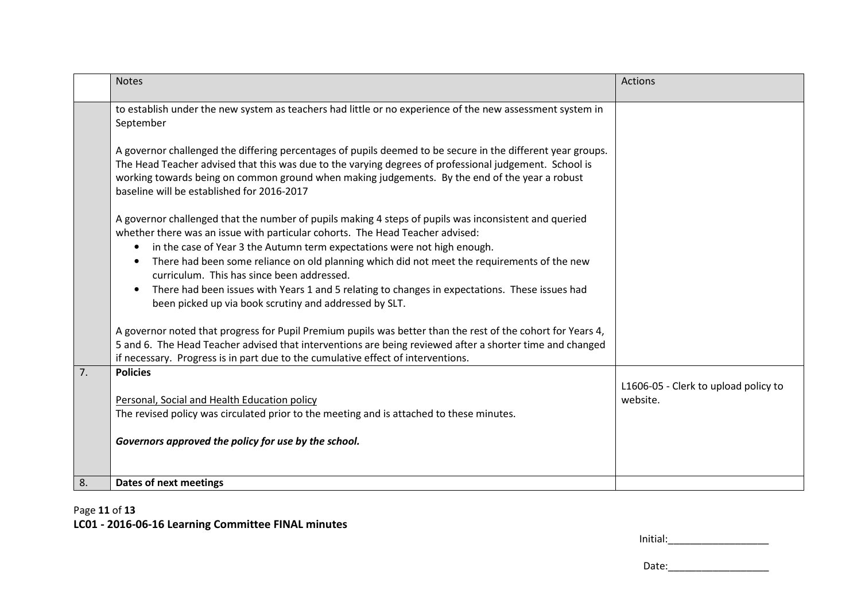|    | <b>Notes</b>                                                                                                                                                                                                                                                                                                                                                          | Actions                                          |
|----|-----------------------------------------------------------------------------------------------------------------------------------------------------------------------------------------------------------------------------------------------------------------------------------------------------------------------------------------------------------------------|--------------------------------------------------|
|    | to establish under the new system as teachers had little or no experience of the new assessment system in<br>September                                                                                                                                                                                                                                                |                                                  |
|    | A governor challenged the differing percentages of pupils deemed to be secure in the different year groups.<br>The Head Teacher advised that this was due to the varying degrees of professional judgement. School is<br>working towards being on common ground when making judgements. By the end of the year a robust<br>baseline will be established for 2016-2017 |                                                  |
|    | A governor challenged that the number of pupils making 4 steps of pupils was inconsistent and queried<br>whether there was an issue with particular cohorts. The Head Teacher advised:                                                                                                                                                                                |                                                  |
|    | in the case of Year 3 the Autumn term expectations were not high enough.<br>$\bullet$<br>There had been some reliance on old planning which did not meet the requirements of the new<br>curriculum. This has since been addressed.                                                                                                                                    |                                                  |
|    | There had been issues with Years 1 and 5 relating to changes in expectations. These issues had<br>been picked up via book scrutiny and addressed by SLT.                                                                                                                                                                                                              |                                                  |
|    | A governor noted that progress for Pupil Premium pupils was better than the rest of the cohort for Years 4,<br>5 and 6. The Head Teacher advised that interventions are being reviewed after a shorter time and changed<br>if necessary. Progress is in part due to the cumulative effect of interventions.                                                           |                                                  |
| 7. | <b>Policies</b>                                                                                                                                                                                                                                                                                                                                                       |                                                  |
|    | Personal, Social and Health Education policy                                                                                                                                                                                                                                                                                                                          | L1606-05 - Clerk to upload policy to<br>website. |
|    | The revised policy was circulated prior to the meeting and is attached to these minutes.                                                                                                                                                                                                                                                                              |                                                  |
|    | Governors approved the policy for use by the school.                                                                                                                                                                                                                                                                                                                  |                                                  |
| 8. | Dates of next meetings                                                                                                                                                                                                                                                                                                                                                |                                                  |

## Page **11** of **13**

# **LC01 - 2016-06-16 Learning Committee FINAL minutes**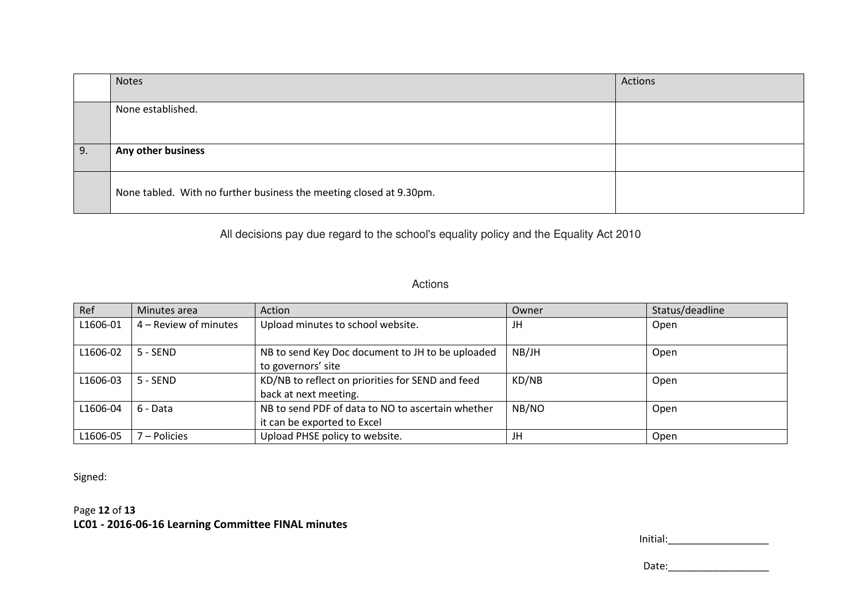|    | <b>Notes</b>                                                        | Actions |
|----|---------------------------------------------------------------------|---------|
|    | None established.                                                   |         |
| 9. | Any other business                                                  |         |
|    | None tabled. With no further business the meeting closed at 9.30pm. |         |

All decisions pay due regard to the school's equality policy and the Equality Act 2010

#### Actions

| Ref      | Minutes area          | Action                                                                           | Owner | Status/deadline |
|----------|-----------------------|----------------------------------------------------------------------------------|-------|-----------------|
| L1606-01 | 4 – Review of minutes | Upload minutes to school website.                                                | JH    | Open            |
| L1606-02 | $5 - SEND$            | NB to send Key Doc document to JH to be uploaded<br>to governors' site           | NB/JH | Open            |
| L1606-03 | $5 - SEND$            | KD/NB to reflect on priorities for SEND and feed<br>back at next meeting.        | KD/NB | Open            |
| L1606-04 | 6 - Data              | NB to send PDF of data to NO to ascertain whether<br>it can be exported to Excel | NB/NO | Open            |
| L1606-05 | ' – Policies          | Upload PHSE policy to website.                                                   | JH    | Open            |

Signed:

Page **12** of **13LC01 - 2016-06-16 Learning Committee FINAL minutes**

| Initial: |  |  |  |
|----------|--|--|--|
|          |  |  |  |